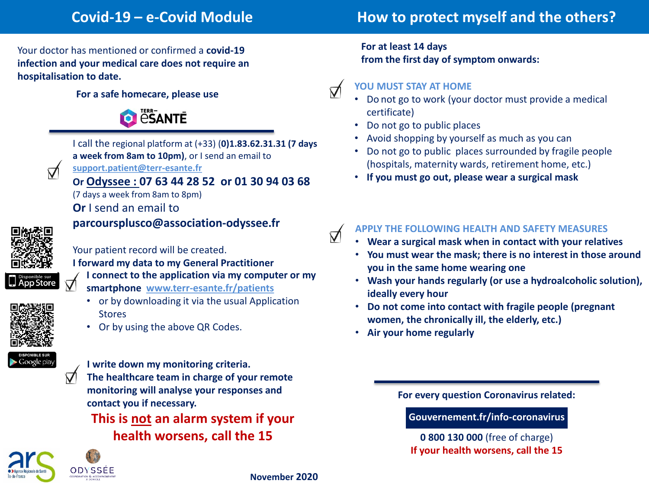# **Covid-19 – e-Covid Module How to protect myself and the others?**

Your doctor has mentioned or confirmed a **covid-19 infection and your medical care does not require an hospitalisation to date.**

#### **For a safe homecare, please use**





I call the regional platform at (+33) (**0)1.83.62.31.31 (7 days a week from 8am to 10pm)**, or I send an email to **support.patient@terr-esante.fr**

**Or Odyssee : 07 63 44 28 52 or 01 30 94 03 68**

(7 days a week from 8am to 8pm)

**Or** I send an email to

**parcoursplusco@association-odyssee.fr**



Your patient record will be created.

**I forward my data to my General Practitioner** 

**I connect to the application via my computer or my** 

- **smartphone www.terr-esante.fr/patients**
	- or by downloading it via the usual Application **Stores**
	- Or by using the above QR Codes.



**I write down my monitoring criteria.**

**The healthcare team in charge of your remote monitoring will analyse your responses and contact you if necessary.**

**This is not an alarm system if your health worsens, call the 15**



**For at least 14 days from the first day of symptom onwards:** 

## **YOU MUST STAY AT HOME**

 $\triangledown$ 

 $\triangledown$ 

- Do not go to work (your doctor must provide a medical certificate)
- Do not go to public places
- Avoid shopping by yourself as much as you can
- Do not go to public places surrounded by fragile people (hospitals, maternity wards, retirement home, etc.)
- **If you must go out, please wear a surgical mask**

# **APPLY THE FOLLOWING HEALTH AND SAFETY MEASURES**

- **Wear a surgical mask when in contact with your relatives**
- **You must wear the mask; there is no interest in those around you in the same home wearing one**
- **Wash your hands regularly (or use a hydroalcoholic solution), ideally every hour**
- **Do not come into contact with fragile people (pregnant women, the chronically ill, the elderly, etc.)**
- **Air your home regularly**

**For every question Coronavirus related:** 

**Gouvernement.fr/info-coronavirus**

**0 800 130 000** (free of charge) **If your health worsens, call the 15**